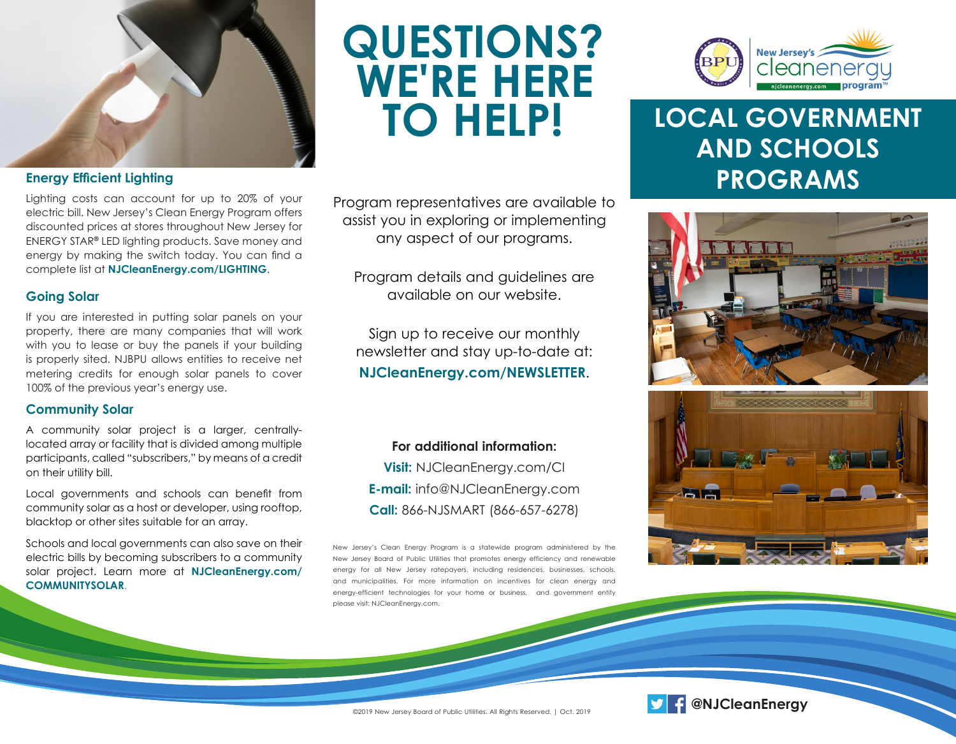

#### **Energy Efficient Lighting**

Lighting costs can account for up to 20% of your electric bill. New Jersey's Clean Energy Program offers discounted prices at stores throughout New Jersey for ENERGY STAR**®** LED lighting products. Save money and energy by making the switch today. You can find a complete list at **NJCleanEnergy.com/LIGHTING**.

#### **Going Solar**

If you are interested in putting solar panels on your property, there are many companies that will work with you to lease or buy the panels if your building is properly sited. NJBPU allows entities to receive net metering credits for enough solar panels to cover 100% of the previous year's energy use.

#### **Community Solar**

A community solar project is a larger, centrallylocated array or facility that is divided among multiple participants, called "subscribers," by means of a credit on their utility bill.

Local governments and schools can benefit from community solar as a host or developer, using rooftop, blacktop or other sites suitable for an array.

Schools and local governments can also save on their electric bills by becoming subscribers to a community solar project. Learn more at **NJCleanEnergy.com/ COMMUNITYSOLAR**.

# **QUESTIONS? WE'RE HERE**

Program representatives are available to assist you in exploring or implementing any aspect of our programs.

Program details and guidelines are available on our website.

Sign up to receive our monthly newsletter and stay up-to-date at: **NJCleanEnergy.com/NEWSLETTER**.

**For additional information: Visit:** NJCleanEnergy.com/CI **E-mail:** info@NJCleanEnergy.com **Call:** 866-NJSMART (866-657-6278)

New Jersey's Clean Energy Program is a statewide program administered by the New Jersey Board of Public Utilities that promotes energy efficiency and renewable energy for all New Jersey ratepayers, including residences, businesses, schools, and municipalities. For more information on incentives for clean energy and energy-efficient technologies for your home or business, and government entity please visit: NJCleanEnergy.com.



## **LOCAL GOVERNMENT AND SCHOOLS PROGRAMS**